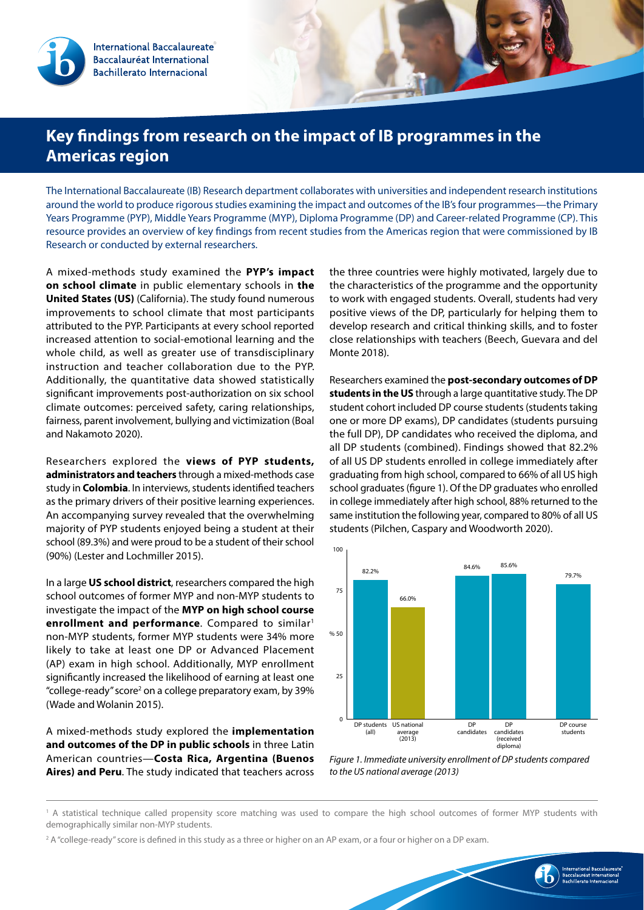International Baccalaureate Baccalauréat International **Bachillerato Internacional** 

## **Key findings from research on the impact of IB programmes in the Americas region**

The International Baccalaureate (IB) Research department collaborates with universities and independent research institutions around the world to produce rigorous studies examining the impact and outcomes of the IB's four programmes—the Primary Years Programme (PYP), Middle Years Programme (MYP), Diploma Programme (DP) and Career-related Programme (CP). This resource provides an overview of key findings from recent studies from the Americas region that were commissioned by IB Research or conducted by external researchers.

A mixed-methods study examined the **PYP's impact on school climate** in public elementary schools in **the United States (US)** (California). The study found numerous improvements to school climate that most participants attributed to the PYP. Participants at every school reported increased attention to social-emotional learning and the whole child, as well as greater use of transdisciplinary instruction and teacher collaboration due to the PYP. Additionally, the quantitative data showed statistically significant improvements post-authorization on six school climate outcomes: perceived safety, caring relationships, fairness, parent involvement, bullying and victimization (Boal and Nakamoto 2020).

Researchers explored the **views of PYP students, administrators and teachers** through a mixed-methods case study in **Colombia**. In interviews, students identified teachers as the primary drivers of their positive learning experiences. An accompanying survey revealed that the overwhelming majority of PYP students enjoyed being a student at their school (89.3%) and were proud to be a student of their school (90%) (Lester and Lochmiller 2015).

In a large **US school district**, researchers compared the high school outcomes of former MYP and non-MYP students to investigate the impact of the **MYP on high school course**  enrollment and performance. Compared to similar<sup>1</sup> non-MYP students, former MYP students were 34% more likely to take at least one DP or Advanced Placement (AP) exam in high school. Additionally, MYP enrollment significantly increased the likelihood of earning at least one "college-ready" score<sup>2</sup> on a college preparatory exam, by 39% (Wade and Wolanin 2015).

A mixed-methods study explored the **implementation and outcomes of the DP in public schools** in three Latin American countries—**Costa Rica, Argentina (Buenos Aires) and Peru**. The study indicated that teachers across

the three countries were highly motivated, largely due to the characteristics of the programme and the opportunity to work with engaged students. Overall, students had very positive views of the DP, particularly for helping them to develop research and critical thinking skills, and to foster close relationships with teachers (Beech, Guevara and del Monte 2018).

Researchers examined the **post-secondary outcomes of DP students in the US** through a large quantitative study. The DP student cohort included DP course students (students taking one or more DP exams), DP candidates (students pursuing the full DP), DP candidates who received the diploma, and all DP students (combined). Findings showed that 82.2% of all US DP students enrolled in college immediately after graduating from high school, compared to 66% of all US high school graduates (figure 1). Of the DP graduates who enrolled in college immediately after high school, 88% returned to the same institution the following year, compared to 80% of all US students (Pilchen, Caspary and Woodworth 2020).



*Figure 1. Immediate university enrollment of DP students compared to the US national average (2013)*

1 A statistical technique called propensity score matching was used to compare the high school outcomes of former MYP students with demographically similar non-MYP students.

2 A "college-ready" score is defined in this study as a three or higher on an AP exam, or a four or higher on a DP exam.